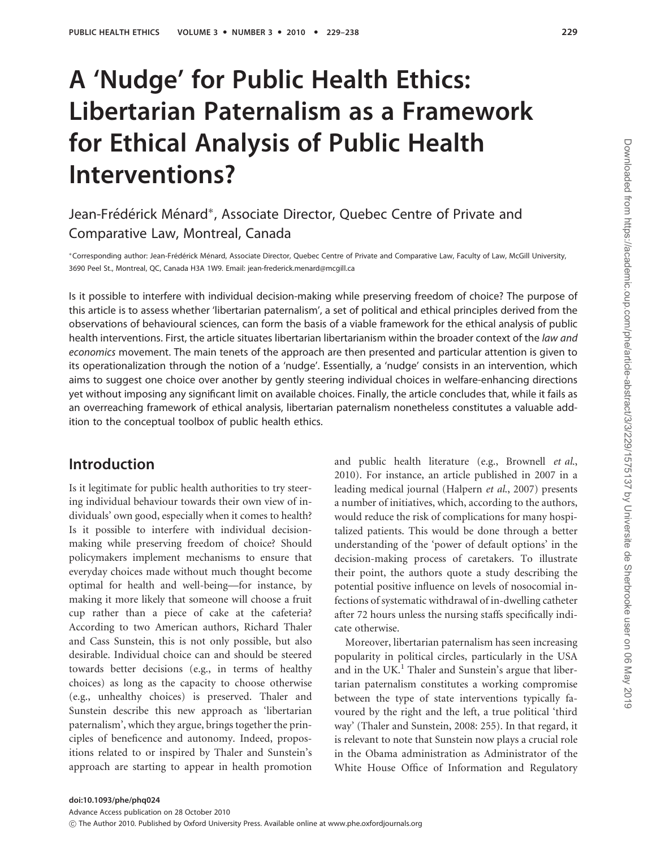# A 'Nudge' for Public Health Ethics: Libertarian Paternalism as a Framework for Ethical Analysis of Public Health Interventions?

## Jean-Frédérick Ménard\*, Associate Director, Quebec Centre of Private and Comparative Law, Montreal, Canada

\*Corresponding author: Jean-Frédérick Ménard, Associate Director, Quebec Centre of Private and Comparative Law, Faculty of Law, McGill University, 3690 Peel St., Montreal, QC, Canada H3A 1W9. Email: jean-frederick.menard@mcgill.ca

Is it possible to interfere with individual decision-making while preserving freedom of choice? The purpose of this article is to assess whether 'libertarian paternalism', a set of political and ethical principles derived from the observations of behavioural sciences, can form the basis of a viable framework for the ethical analysis of public health interventions. First, the article situates libertarian libertarianism within the broader context of the law and economics movement. The main tenets of the approach are then presented and particular attention is given to its operationalization through the notion of a 'nudge'. Essentially, a 'nudge' consists in an intervention, which aims to suggest one choice over another by gently steering individual choices in welfare-enhancing directions yet without imposing any significant limit on available choices. Finally, the article concludes that, while it fails as an overreaching framework of ethical analysis, libertarian paternalism nonetheless constitutes a valuable addition to the conceptual toolbox of public health ethics.

### Introduction

Is it legitimate for public health authorities to try steering individual behaviour towards their own view of individuals' own good, especially when it comes to health? Is it possible to interfere with individual decisionmaking while preserving freedom of choice? Should policymakers implement mechanisms to ensure that everyday choices made without much thought become optimal for health and well-being—for instance, by making it more likely that someone will choose a fruit cup rather than a piece of cake at the cafeteria? According to two American authors, Richard Thaler and Cass Sunstein, this is not only possible, but also desirable. Individual choice can and should be steered towards better decisions (e.g., in terms of healthy choices) as long as the capacity to choose otherwise (e.g., unhealthy choices) is preserved. Thaler and Sunstein describe this new approach as 'libertarian paternalism', which they argue, brings together the principles of beneficence and autonomy. Indeed, propositions related to or inspired by Thaler and Sunstein's approach are starting to appear in health promotion and public health literature (e.g., Brownell et al., 2010). For instance, an article published in 2007 in a leading medical journal (Halpern et al., 2007) presents a number of initiatives, which, according to the authors, would reduce the risk of complications for many hospitalized patients. This would be done through a better understanding of the 'power of default options' in the decision-making process of caretakers. To illustrate their point, the authors quote a study describing the potential positive influence on levels of nosocomial infections of systematic withdrawal of in-dwelling catheter after 72 hours unless the nursing staffs specifically indicate otherwise.

Moreover, libertarian paternalism has seen increasing popularity in political circles, particularly in the USA and in the UK. $<sup>1</sup>$  Thaler and Sunstein's argue that liber-</sup> tarian paternalism constitutes a working compromise between the type of state interventions typically favoured by the right and the left, a true political 'third way' (Thaler and Sunstein, 2008: 255). In that regard, it is relevant to note that Sunstein now plays a crucial role in the Obama administration as Administrator of the White House Office of Information and Regulatory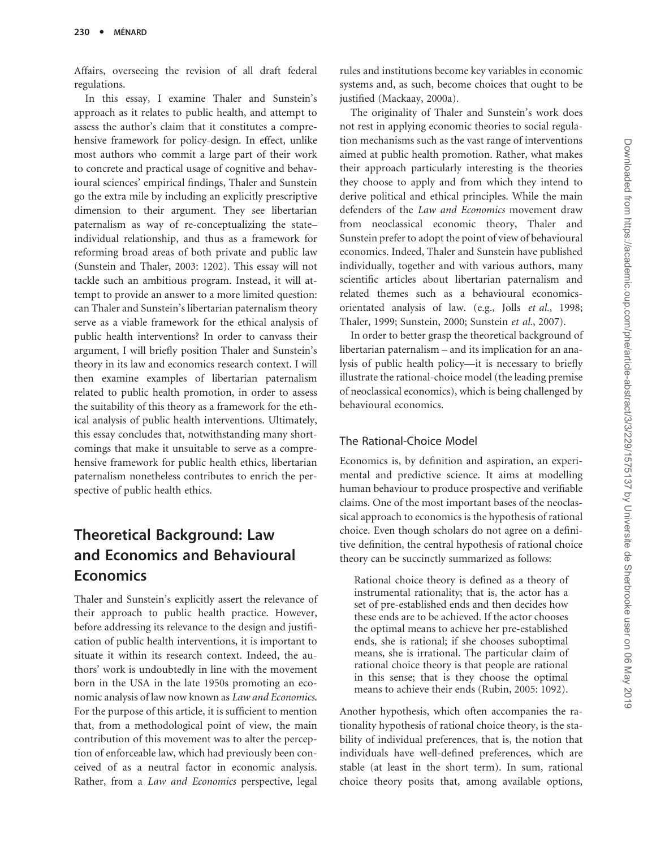Affairs, overseeing the revision of all draft federal regulations.

In this essay, I examine Thaler and Sunstein's approach as it relates to public health, and attempt to assess the author's claim that it constitutes a comprehensive framework for policy-design. In effect, unlike most authors who commit a large part of their work to concrete and practical usage of cognitive and behavioural sciences' empirical findings, Thaler and Sunstein go the extra mile by including an explicitly prescriptive dimension to their argument. They see libertarian paternalism as way of re-conceptualizing the state– individual relationship, and thus as a framework for reforming broad areas of both private and public law (Sunstein and Thaler, 2003: 1202). This essay will not tackle such an ambitious program. Instead, it will attempt to provide an answer to a more limited question: can Thaler and Sunstein's libertarian paternalism theory serve as a viable framework for the ethical analysis of public health interventions? In order to canvass their argument, I will briefly position Thaler and Sunstein's theory in its law and economics research context. I will then examine examples of libertarian paternalism related to public health promotion, in order to assess the suitability of this theory as a framework for the ethical analysis of public health interventions. Ultimately, this essay concludes that, notwithstanding many shortcomings that make it unsuitable to serve as a comprehensive framework for public health ethics, libertarian paternalism nonetheless contributes to enrich the perspective of public health ethics.

# Theoretical Background: Law and Economics and Behavioural Economics

Thaler and Sunstein's explicitly assert the relevance of their approach to public health practice. However, before addressing its relevance to the design and justification of public health interventions, it is important to situate it within its research context. Indeed, the authors' work is undoubtedly in line with the movement born in the USA in the late 1950s promoting an economic analysis of law now known as Law and Economics. For the purpose of this article, it is sufficient to mention that, from a methodological point of view, the main contribution of this movement was to alter the perception of enforceable law, which had previously been conceived of as a neutral factor in economic analysis. Rather, from a Law and Economics perspective, legal

rules and institutions become key variables in economic systems and, as such, become choices that ought to be justified (Mackaay, 2000a).

The originality of Thaler and Sunstein's work does not rest in applying economic theories to social regulation mechanisms such as the vast range of interventions aimed at public health promotion. Rather, what makes their approach particularly interesting is the theories they choose to apply and from which they intend to derive political and ethical principles. While the main defenders of the Law and Economics movement draw from neoclassical economic theory, Thaler and Sunstein prefer to adopt the point of view of behavioural economics. Indeed, Thaler and Sunstein have published individually, together and with various authors, many scientific articles about libertarian paternalism and related themes such as a behavioural economicsorientated analysis of law. (e.g., Jolls et al., 1998; Thaler, 1999; Sunstein, 2000; Sunstein et al., 2007).

In order to better grasp the theoretical background of libertarian paternalism – and its implication for an analysis of public health policy—it is necessary to briefly illustrate the rational-choice model (the leading premise of neoclassical economics), which is being challenged by behavioural economics.

#### The Rational-Choice Model

Economics is, by definition and aspiration, an experimental and predictive science. It aims at modelling human behaviour to produce prospective and verifiable claims. One of the most important bases of the neoclassical approach to economics is the hypothesis of rational choice. Even though scholars do not agree on a definitive definition, the central hypothesis of rational choice theory can be succinctly summarized as follows:

Rational choice theory is defined as a theory of instrumental rationality; that is, the actor has a set of pre-established ends and then decides how these ends are to be achieved. If the actor chooses the optimal means to achieve her pre-established ends, she is rational; if she chooses suboptimal means, she is irrational. The particular claim of rational choice theory is that people are rational in this sense; that is they choose the optimal means to achieve their ends (Rubin, 2005: 1092).

Another hypothesis, which often accompanies the rationality hypothesis of rational choice theory, is the stability of individual preferences, that is, the notion that individuals have well-defined preferences, which are stable (at least in the short term). In sum, rational choice theory posits that, among available options,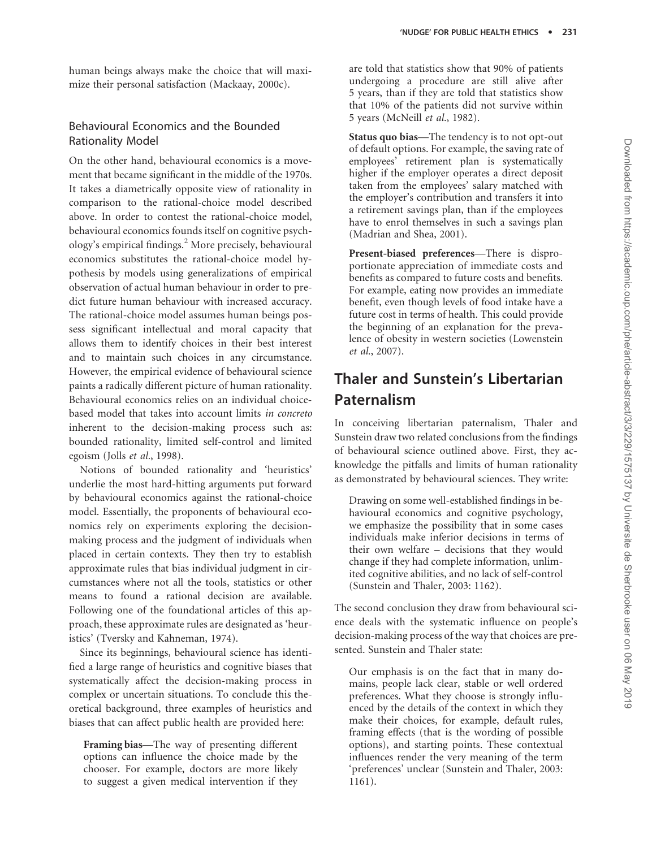human beings always make the choice that will maximize their personal satisfaction (Mackaay, 2000c).

#### Behavioural Economics and the Bounded Rationality Model

On the other hand, behavioural economics is a movement that became significant in the middle of the 1970s. It takes a diametrically opposite view of rationality in comparison to the rational-choice model described above. In order to contest the rational-choice model, behavioural economics founds itself on cognitive psychology's empirical findings.<sup>2</sup> More precisely, behavioural economics substitutes the rational-choice model hypothesis by models using generalizations of empirical observation of actual human behaviour in order to predict future human behaviour with increased accuracy. The rational-choice model assumes human beings possess significant intellectual and moral capacity that allows them to identify choices in their best interest and to maintain such choices in any circumstance. However, the empirical evidence of behavioural science paints a radically different picture of human rationality. Behavioural economics relies on an individual choicebased model that takes into account limits in concreto inherent to the decision-making process such as: bounded rationality, limited self-control and limited egoism (Jolls et al., 1998).

Notions of bounded rationality and 'heuristics' underlie the most hard-hitting arguments put forward by behavioural economics against the rational-choice model. Essentially, the proponents of behavioural economics rely on experiments exploring the decisionmaking process and the judgment of individuals when placed in certain contexts. They then try to establish approximate rules that bias individual judgment in circumstances where not all the tools, statistics or other means to found a rational decision are available. Following one of the foundational articles of this approach, these approximate rules are designated as 'heuristics' (Tversky and Kahneman, 1974).

Since its beginnings, behavioural science has identified a large range of heuristics and cognitive biases that systematically affect the decision-making process in complex or uncertain situations. To conclude this theoretical background, three examples of heuristics and biases that can affect public health are provided here:

Framing bias—The way of presenting different options can influence the choice made by the chooser. For example, doctors are more likely to suggest a given medical intervention if they

are told that statistics show that 90% of patients undergoing a procedure are still alive after 5 years, than if they are told that statistics show that 10% of the patients did not survive within 5 years (McNeill et al., 1982).

Status quo bias—The tendency is to not opt-out of default options. For example, the saving rate of employees' retirement plan is systematically higher if the employer operates a direct deposit taken from the employees' salary matched with the employer's contribution and transfers it into a retirement savings plan, than if the employees have to enrol themselves in such a savings plan (Madrian and Shea, 2001).

Present-biased preferences—There is disproportionate appreciation of immediate costs and benefits as compared to future costs and benefits. For example, eating now provides an immediate benefit, even though levels of food intake have a future cost in terms of health. This could provide the beginning of an explanation for the prevalence of obesity in western societies (Lowenstein et al., 2007).

# Thaler and Sunstein's Libertarian Paternalism

In conceiving libertarian paternalism, Thaler and Sunstein draw two related conclusions from the findings of behavioural science outlined above. First, they acknowledge the pitfalls and limits of human rationality as demonstrated by behavioural sciences. They write:

Drawing on some well-established findings in behavioural economics and cognitive psychology, we emphasize the possibility that in some cases individuals make inferior decisions in terms of their own welfare – decisions that they would change if they had complete information, unlimited cognitive abilities, and no lack of self-control (Sunstein and Thaler, 2003: 1162).

The second conclusion they draw from behavioural science deals with the systematic influence on people's decision-making process of the way that choices are presented. Sunstein and Thaler state:

Our emphasis is on the fact that in many domains, people lack clear, stable or well ordered preferences. What they choose is strongly influenced by the details of the context in which they make their choices, for example, default rules, framing effects (that is the wording of possible options), and starting points. These contextual influences render the very meaning of the term 'preferences' unclear (Sunstein and Thaler, 2003: 1161).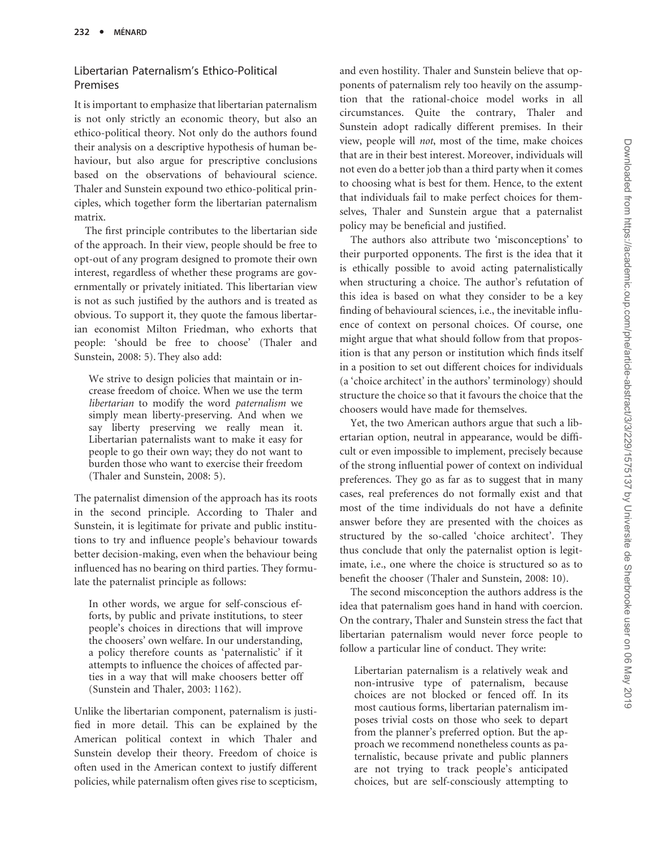#### Libertarian Paternalism's Ethico-Political Premises

It is important to emphasize that libertarian paternalism is not only strictly an economic theory, but also an ethico-political theory. Not only do the authors found their analysis on a descriptive hypothesis of human behaviour, but also argue for prescriptive conclusions based on the observations of behavioural science. Thaler and Sunstein expound two ethico-political principles, which together form the libertarian paternalism matrix.

The first principle contributes to the libertarian side of the approach. In their view, people should be free to opt-out of any program designed to promote their own interest, regardless of whether these programs are governmentally or privately initiated. This libertarian view is not as such justified by the authors and is treated as obvious. To support it, they quote the famous libertarian economist Milton Friedman, who exhorts that people: 'should be free to choose' (Thaler and Sunstein, 2008: 5). They also add:

We strive to design policies that maintain or increase freedom of choice. When we use the term libertarian to modify the word paternalism we simply mean liberty-preserving. And when we say liberty preserving we really mean it. Libertarian paternalists want to make it easy for people to go their own way; they do not want to burden those who want to exercise their freedom (Thaler and Sunstein, 2008: 5).

The paternalist dimension of the approach has its roots in the second principle. According to Thaler and Sunstein, it is legitimate for private and public institutions to try and influence people's behaviour towards better decision-making, even when the behaviour being influenced has no bearing on third parties. They formulate the paternalist principle as follows:

In other words, we argue for self-conscious efforts, by public and private institutions, to steer people's choices in directions that will improve the choosers' own welfare. In our understanding, a policy therefore counts as 'paternalistic' if it attempts to influence the choices of affected parties in a way that will make choosers better off (Sunstein and Thaler, 2003: 1162).

Unlike the libertarian component, paternalism is justified in more detail. This can be explained by the American political context in which Thaler and Sunstein develop their theory. Freedom of choice is often used in the American context to justify different policies, while paternalism often gives rise to scepticism, and even hostility. Thaler and Sunstein believe that opponents of paternalism rely too heavily on the assumption that the rational-choice model works in all circumstances. Quite the contrary, Thaler and Sunstein adopt radically different premises. In their view, people will not, most of the time, make choices that are in their best interest. Moreover, individuals will not even do a better job than a third party when it comes to choosing what is best for them. Hence, to the extent that individuals fail to make perfect choices for themselves, Thaler and Sunstein argue that a paternalist policy may be beneficial and justified.

The authors also attribute two 'misconceptions' to their purported opponents. The first is the idea that it is ethically possible to avoid acting paternalistically when structuring a choice. The author's refutation of this idea is based on what they consider to be a key finding of behavioural sciences, i.e., the inevitable influence of context on personal choices. Of course, one might argue that what should follow from that proposition is that any person or institution which finds itself in a position to set out different choices for individuals (a 'choice architect' in the authors' terminology) should structure the choice so that it favours the choice that the choosers would have made for themselves.

Yet, the two American authors argue that such a libertarian option, neutral in appearance, would be difficult or even impossible to implement, precisely because of the strong influential power of context on individual preferences. They go as far as to suggest that in many cases, real preferences do not formally exist and that most of the time individuals do not have a definite answer before they are presented with the choices as structured by the so-called 'choice architect'. They thus conclude that only the paternalist option is legitimate, i.e., one where the choice is structured so as to benefit the chooser (Thaler and Sunstein, 2008: 10).

The second misconception the authors address is the idea that paternalism goes hand in hand with coercion. On the contrary, Thaler and Sunstein stress the fact that libertarian paternalism would never force people to follow a particular line of conduct. They write:

Libertarian paternalism is a relatively weak and non-intrusive type of paternalism, because choices are not blocked or fenced off. In its most cautious forms, libertarian paternalism imposes trivial costs on those who seek to depart from the planner's preferred option. But the approach we recommend nonetheless counts as paternalistic, because private and public planners are not trying to track people's anticipated choices, but are self-consciously attempting to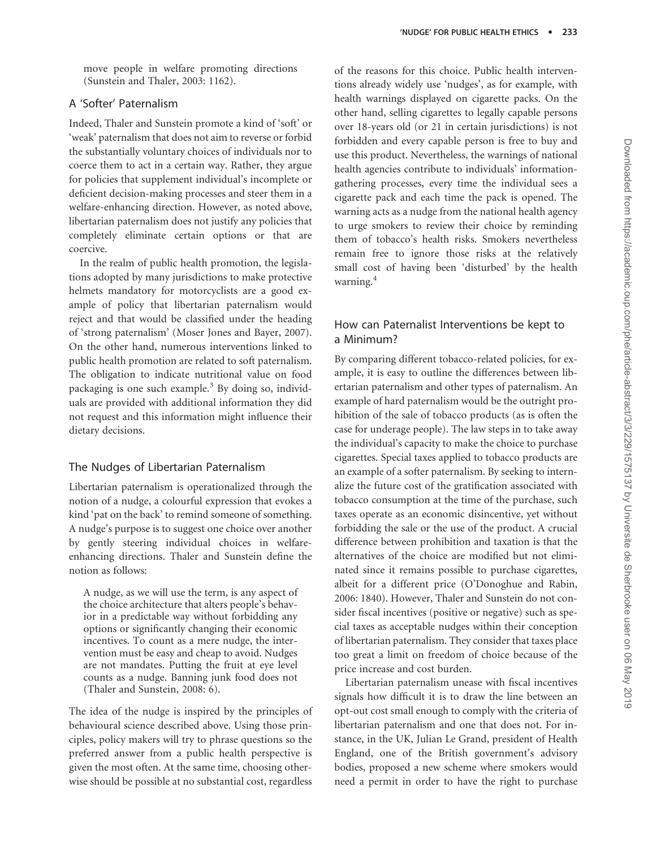move people in welfare promoting directions (Sunstein and Thaler, 2003: 1162).

#### A 'Softer' Paternalism

Indeed, Thaler and Sunstein promote a kind of 'soft' or 'weak' paternalism that does not aim to reverse or forbid the substantially voluntary choices of individuals nor to coerce them to act in a certain way. Rather, they argue for policies that supplement individual's incomplete or deficient decision-making processes and steer them in a welfare-enhancing direction. However, as noted above, libertarian paternalism does not justify any policies that completely eliminate certain options or that are coercive.

In the realm of public health promotion, the legislations adopted by many jurisdictions to make protective helmets mandatory for motorcyclists are a good example of policy that libertarian paternalism would reject and that would be classified under the heading of 'strong paternalism' (Moser Jones and Bayer, 2007). On the other hand, numerous interventions linked to public health promotion are related to soft paternalism. The obligation to indicate nutritional value on food packaging is one such example. $3$  By doing so, individuals are provided with additional information they did not request and this information might influence their dietary decisions.

#### The Nudges of Libertarian Paternalism

Libertarian paternalism is operationalized through the notion of a nudge, a colourful expression that evokes a kind 'pat on the back' to remind someone of something. A nudge's purpose is to suggest one choice over another by gently steering individual choices in welfareenhancing directions. Thaler and Sunstein define the notion as follows:

A nudge, as we will use the term, is any aspect of the choice architecture that alters people's behavior in a predictable way without forbidding any options or significantly changing their economic incentives. To count as a mere nudge, the intervention must be easy and cheap to avoid. Nudges are not mandates. Putting the fruit at eye level counts as a nudge. Banning junk food does not (Thaler and Sunstein, 2008: 6).

The idea of the nudge is inspired by the principles of behavioural science described above. Using those principles, policy makers will try to phrase questions so the preferred answer from a public health perspective is given the most often. At the same time, choosing otherwise should be possible at no substantial cost, regardless of the reasons for this choice. Public health interventions already widely use 'nudges', as for example, with health warnings displayed on cigarette packs. On the other hand, selling cigarettes to legally capable persons over 18-years old (or 21 in certain jurisdictions) is not forbidden and every capable person is free to buy and use this product. Nevertheless, the warnings of national health agencies contribute to individuals' informationgathering processes, every time the individual sees a cigarette pack and each time the pack is opened. The warning acts as a nudge from the national health agency to urge smokers to review their choice by reminding them of tobacco's health risks. Smokers nevertheless remain free to ignore those risks at the relatively small cost of having been 'disturbed' by the health warning.<sup>4</sup>

#### How can Paternalist Interventions be kept to a Minimum?

By comparing different tobacco-related policies, for example, it is easy to outline the differences between libertarian paternalism and other types of paternalism. An example of hard paternalism would be the outright prohibition of the sale of tobacco products (as is often the case for underage people). The law steps in to take away the individual's capacity to make the choice to purchase cigarettes. Special taxes applied to tobacco products are an example of a softer paternalism. By seeking to internalize the future cost of the gratification associated with tobacco consumption at the time of the purchase, such taxes operate as an economic disincentive, yet without forbidding the sale or the use of the product. A crucial difference between prohibition and taxation is that the alternatives of the choice are modified but not eliminated since it remains possible to purchase cigarettes, albeit for a different price (O'Donoghue and Rabin, 2006: 1840). However, Thaler and Sunstein do not consider fiscal incentives (positive or negative) such as special taxes as acceptable nudges within their conception of libertarian paternalism. They consider that taxes place too great a limit on freedom of choice because of the price increase and cost burden.

Libertarian paternalism unease with fiscal incentives signals how difficult it is to draw the line between an opt-out cost small enough to comply with the criteria of libertarian paternalism and one that does not. For instance, in the UK, Julian Le Grand, president of Health England, one of the British government's advisory bodies, proposed a new scheme where smokers would need a permit in order to have the right to purchase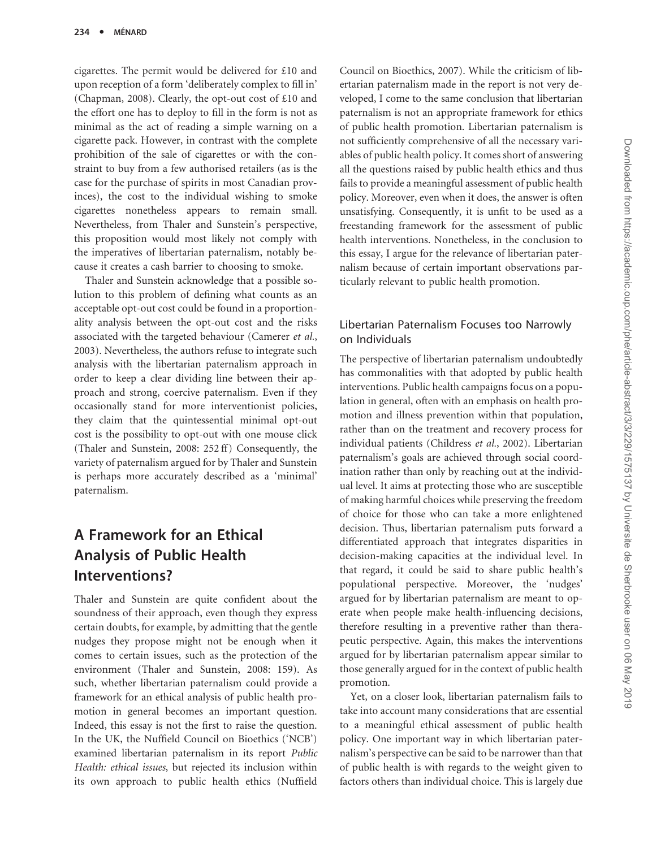cigarettes. The permit would be delivered for £10 and upon reception of a form 'deliberately complex to fill in' (Chapman, 2008). Clearly, the opt-out cost of £10 and the effort one has to deploy to fill in the form is not as minimal as the act of reading a simple warning on a cigarette pack. However, in contrast with the complete prohibition of the sale of cigarettes or with the constraint to buy from a few authorised retailers (as is the case for the purchase of spirits in most Canadian provinces), the cost to the individual wishing to smoke cigarettes nonetheless appears to remain small. Nevertheless, from Thaler and Sunstein's perspective, this proposition would most likely not comply with the imperatives of libertarian paternalism, notably because it creates a cash barrier to choosing to smoke.

Thaler and Sunstein acknowledge that a possible solution to this problem of defining what counts as an acceptable opt-out cost could be found in a proportionality analysis between the opt-out cost and the risks associated with the targeted behaviour (Camerer et al., 2003). Nevertheless, the authors refuse to integrate such analysis with the libertarian paternalism approach in order to keep a clear dividing line between their approach and strong, coercive paternalism. Even if they occasionally stand for more interventionist policies, they claim that the quintessential minimal opt-out cost is the possibility to opt-out with one mouse click (Thaler and Sunstein, 2008: 252 ff) Consequently, the variety of paternalism argued for by Thaler and Sunstein is perhaps more accurately described as a 'minimal' paternalism.

# A Framework for an Ethical Analysis of Public Health Interventions?

Thaler and Sunstein are quite confident about the soundness of their approach, even though they express certain doubts, for example, by admitting that the gentle nudges they propose might not be enough when it comes to certain issues, such as the protection of the environment (Thaler and Sunstein, 2008: 159). As such, whether libertarian paternalism could provide a framework for an ethical analysis of public health promotion in general becomes an important question. Indeed, this essay is not the first to raise the question. In the UK, the Nuffield Council on Bioethics ('NCB') examined libertarian paternalism in its report Public Health: ethical issues, but rejected its inclusion within its own approach to public health ethics (Nuffield

Council on Bioethics, 2007). While the criticism of libertarian paternalism made in the report is not very developed, I come to the same conclusion that libertarian paternalism is not an appropriate framework for ethics of public health promotion. Libertarian paternalism is not sufficiently comprehensive of all the necessary variables of public health policy. It comes short of answering all the questions raised by public health ethics and thus fails to provide a meaningful assessment of public health policy. Moreover, even when it does, the answer is often unsatisfying. Consequently, it is unfit to be used as a freestanding framework for the assessment of public health interventions. Nonetheless, in the conclusion to this essay, I argue for the relevance of libertarian paternalism because of certain important observations particularly relevant to public health promotion.

#### Libertarian Paternalism Focuses too Narrowly on Individuals

The perspective of libertarian paternalism undoubtedly has commonalities with that adopted by public health interventions. Public health campaigns focus on a population in general, often with an emphasis on health promotion and illness prevention within that population, rather than on the treatment and recovery process for individual patients (Childress et al., 2002). Libertarian paternalism's goals are achieved through social coordination rather than only by reaching out at the individual level. It aims at protecting those who are susceptible of making harmful choices while preserving the freedom of choice for those who can take a more enlightened decision. Thus, libertarian paternalism puts forward a differentiated approach that integrates disparities in decision-making capacities at the individual level. In that regard, it could be said to share public health's populational perspective. Moreover, the 'nudges' argued for by libertarian paternalism are meant to operate when people make health-influencing decisions, therefore resulting in a preventive rather than therapeutic perspective. Again, this makes the interventions argued for by libertarian paternalism appear similar to those generally argued for in the context of public health promotion.

Yet, on a closer look, libertarian paternalism fails to take into account many considerations that are essential to a meaningful ethical assessment of public health policy. One important way in which libertarian paternalism's perspective can be said to be narrower than that of public health is with regards to the weight given to factors others than individual choice. This is largely due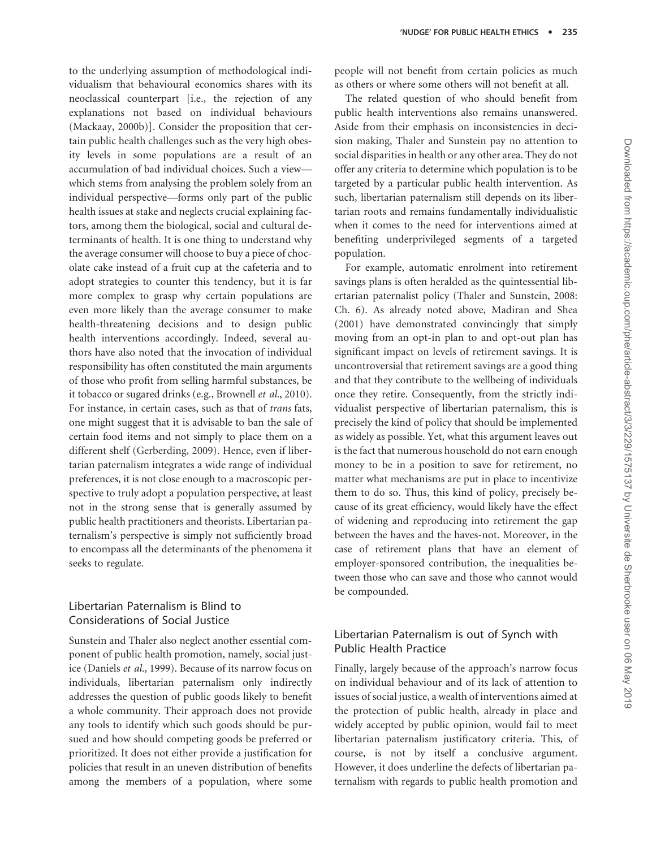to the underlying assumption of methodological individualism that behavioural economics shares with its neoclassical counterpart [i.e., the rejection of any explanations not based on individual behaviours (Mackaay, 2000b)]. Consider the proposition that certain public health challenges such as the very high obesity levels in some populations are a result of an accumulation of bad individual choices. Such a view which stems from analysing the problem solely from an individual perspective—forms only part of the public health issues at stake and neglects crucial explaining factors, among them the biological, social and cultural determinants of health. It is one thing to understand why the average consumer will choose to buy a piece of chocolate cake instead of a fruit cup at the cafeteria and to adopt strategies to counter this tendency, but it is far more complex to grasp why certain populations are even more likely than the average consumer to make health-threatening decisions and to design public health interventions accordingly. Indeed, several authors have also noted that the invocation of individual responsibility has often constituted the main arguments of those who profit from selling harmful substances, be it tobacco or sugared drinks (e.g., Brownell et al., 2010). For instance, in certain cases, such as that of trans fats, one might suggest that it is advisable to ban the sale of certain food items and not simply to place them on a different shelf (Gerberding, 2009). Hence, even if libertarian paternalism integrates a wide range of individual preferences, it is not close enough to a macroscopic perspective to truly adopt a population perspective, at least not in the strong sense that is generally assumed by public health practitioners and theorists. Libertarian paternalism's perspective is simply not sufficiently broad to encompass all the determinants of the phenomena it seeks to regulate.

#### Libertarian Paternalism is Blind to Considerations of Social Justice

Sunstein and Thaler also neglect another essential component of public health promotion, namely, social justice (Daniels et al., 1999). Because of its narrow focus on individuals, libertarian paternalism only indirectly addresses the question of public goods likely to benefit a whole community. Their approach does not provide any tools to identify which such goods should be pursued and how should competing goods be preferred or prioritized. It does not either provide a justification for policies that result in an uneven distribution of benefits among the members of a population, where some people will not benefit from certain policies as much as others or where some others will not benefit at all.

The related question of who should benefit from public health interventions also remains unanswered. Aside from their emphasis on inconsistencies in decision making, Thaler and Sunstein pay no attention to social disparities in health or any other area. They do not offer any criteria to determine which population is to be targeted by a particular public health intervention. As such, libertarian paternalism still depends on its libertarian roots and remains fundamentally individualistic when it comes to the need for interventions aimed at benefiting underprivileged segments of a targeted population.

For example, automatic enrolment into retirement savings plans is often heralded as the quintessential libertarian paternalist policy (Thaler and Sunstein, 2008: Ch. 6). As already noted above, Madiran and Shea (2001) have demonstrated convincingly that simply moving from an opt-in plan to and opt-out plan has significant impact on levels of retirement savings. It is uncontroversial that retirement savings are a good thing and that they contribute to the wellbeing of individuals once they retire. Consequently, from the strictly individualist perspective of libertarian paternalism, this is precisely the kind of policy that should be implemented as widely as possible. Yet, what this argument leaves out is the fact that numerous household do not earn enough money to be in a position to save for retirement, no matter what mechanisms are put in place to incentivize them to do so. Thus, this kind of policy, precisely because of its great efficiency, would likely have the effect of widening and reproducing into retirement the gap between the haves and the haves-not. Moreover, in the case of retirement plans that have an element of employer-sponsored contribution, the inequalities between those who can save and those who cannot would be compounded.

#### Libertarian Paternalism is out of Synch with Public Health Practice

Finally, largely because of the approach's narrow focus on individual behaviour and of its lack of attention to issues of social justice, a wealth of interventions aimed at the protection of public health, already in place and widely accepted by public opinion, would fail to meet libertarian paternalism justificatory criteria. This, of course, is not by itself a conclusive argument. However, it does underline the defects of libertarian paternalism with regards to public health promotion and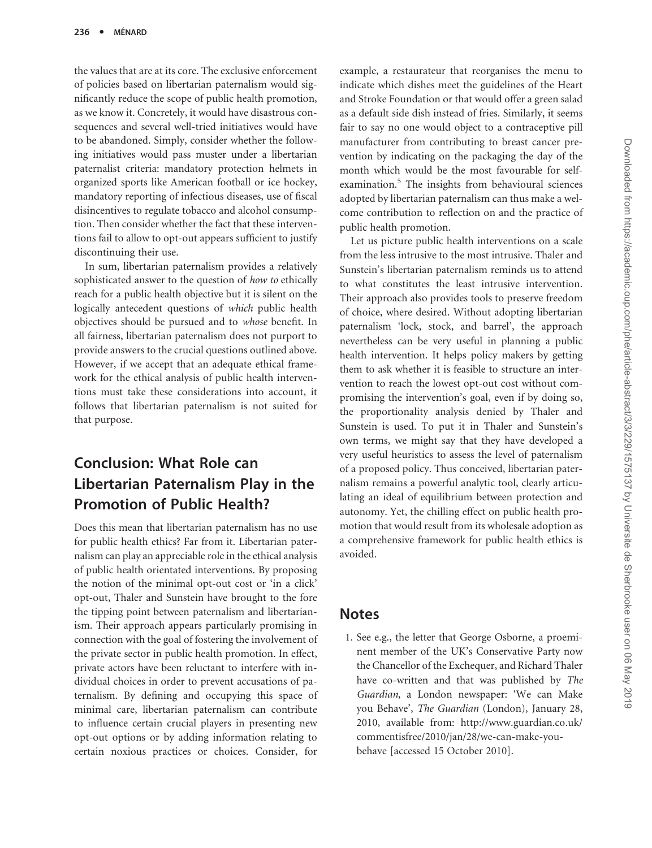the values that are at its core. The exclusive enforcement of policies based on libertarian paternalism would significantly reduce the scope of public health promotion, as we know it. Concretely, it would have disastrous consequences and several well-tried initiatives would have to be abandoned. Simply, consider whether the following initiatives would pass muster under a libertarian paternalist criteria: mandatory protection helmets in organized sports like American football or ice hockey, mandatory reporting of infectious diseases, use of fiscal disincentives to regulate tobacco and alcohol consumption. Then consider whether the fact that these interventions fail to allow to opt-out appears sufficient to justify discontinuing their use.

In sum, libertarian paternalism provides a relatively sophisticated answer to the question of how to ethically reach for a public health objective but it is silent on the logically antecedent questions of which public health objectives should be pursued and to whose benefit. In all fairness, libertarian paternalism does not purport to provide answers to the crucial questions outlined above. However, if we accept that an adequate ethical framework for the ethical analysis of public health interventions must take these considerations into account, it follows that libertarian paternalism is not suited for that purpose.

# Conclusion: What Role can Libertarian Paternalism Play in the Promotion of Public Health?

Does this mean that libertarian paternalism has no use for public health ethics? Far from it. Libertarian paternalism can play an appreciable role in the ethical analysis of public health orientated interventions. By proposing the notion of the minimal opt-out cost or 'in a click' opt-out, Thaler and Sunstein have brought to the fore the tipping point between paternalism and libertarianism. Their approach appears particularly promising in connection with the goal of fostering the involvement of the private sector in public health promotion. In effect, private actors have been reluctant to interfere with individual choices in order to prevent accusations of paternalism. By defining and occupying this space of minimal care, libertarian paternalism can contribute to influence certain crucial players in presenting new opt-out options or by adding information relating to certain noxious practices or choices. Consider, for example, a restaurateur that reorganises the menu to indicate which dishes meet the guidelines of the Heart and Stroke Foundation or that would offer a green salad as a default side dish instead of fries. Similarly, it seems fair to say no one would object to a contraceptive pill manufacturer from contributing to breast cancer prevention by indicating on the packaging the day of the month which would be the most favourable for selfexamination.<sup>5</sup> The insights from behavioural sciences adopted by libertarian paternalism can thus make a welcome contribution to reflection on and the practice of public health promotion.

Let us picture public health interventions on a scale from the less intrusive to the most intrusive. Thaler and Sunstein's libertarian paternalism reminds us to attend to what constitutes the least intrusive intervention. Their approach also provides tools to preserve freedom of choice, where desired. Without adopting libertarian paternalism 'lock, stock, and barrel', the approach nevertheless can be very useful in planning a public health intervention. It helps policy makers by getting them to ask whether it is feasible to structure an intervention to reach the lowest opt-out cost without compromising the intervention's goal, even if by doing so, the proportionality analysis denied by Thaler and Sunstein is used. To put it in Thaler and Sunstein's own terms, we might say that they have developed a very useful heuristics to assess the level of paternalism of a proposed policy. Thus conceived, libertarian paternalism remains a powerful analytic tool, clearly articulating an ideal of equilibrium between protection and autonomy. Yet, the chilling effect on public health promotion that would result from its wholesale adoption as a comprehensive framework for public health ethics is avoided.

### **Notes**

1. See e.g., the letter that George Osborne, a proeminent member of the UK's Conservative Party now the Chancellor of the Exchequer, and Richard Thaler have co-written and that was published by The Guardian, a London newspaper: 'We can Make you Behave', The Guardian (London), January 28, 2010, available from:<http://www.guardian.co.uk/> commentisfree/2010/jan/28/we-can-make-youbehave [accessed 15 October 2010].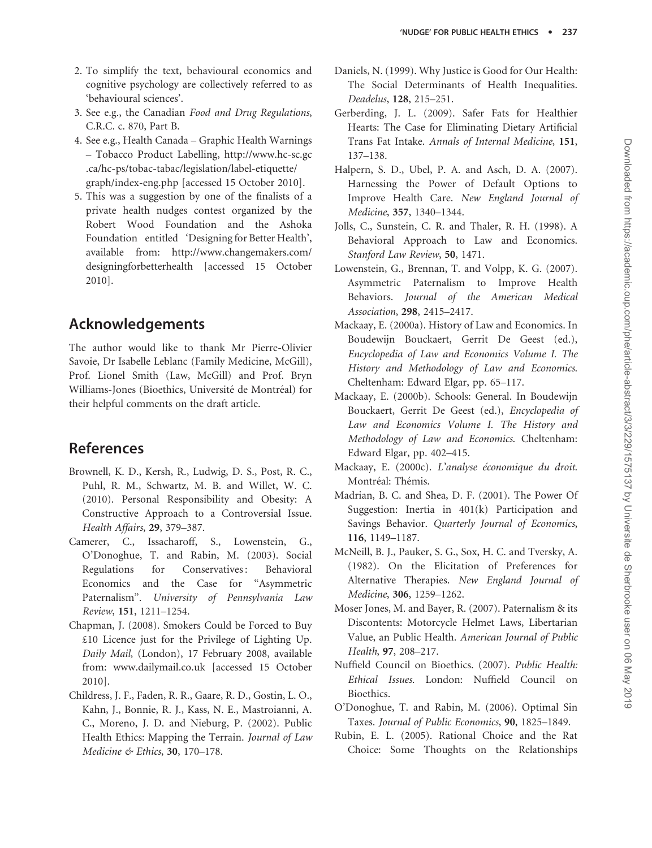- 2. To simplify the text, behavioural economics and cognitive psychology are collectively referred to as 'behavioural sciences'.
- 3. See e.g., the Canadian Food and Drug Regulations, C.R.C. c. 870, Part B.
- 4. See e.g., Health Canada Graphic Health Warnings – Tobacco Product Labelling,<http://www.hc-sc.gc> .ca/hc-ps/tobac-tabac/legislation/label-etiquette/ graph/index-eng.php [accessed 15 October 2010].
- 5. This was a suggestion by one of the finalists of a private health nudges contest organized by the Robert Wood Foundation and the Ashoka Foundation entitled 'Designing for Better Health', available from:<http://www.changemakers.com/> designingforbetterhealth [accessed 15 October 2010].

## Acknowledgements

The author would like to thank Mr Pierre-Olivier Savoie, Dr Isabelle Leblanc (Family Medicine, McGill), Prof. Lionel Smith (Law, McGill) and Prof. Bryn Williams-Jones (Bioethics, Université de Montréal) for their helpful comments on the draft article.

### References

- Brownell, K. D., Kersh, R., Ludwig, D. S., Post, R. C., Puhl, R. M., Schwartz, M. B. and Willet, W. C. (2010). Personal Responsibility and Obesity: A Constructive Approach to a Controversial Issue. Health Affairs, 29, 379–387.
- Camerer, C., Issacharoff, S., Lowenstein, G., O'Donoghue, T. and Rabin, M. (2003). Social Regulations for Conservatives: Behavioral Economics and the Case for "Asymmetric Paternalism". University of Pennsylvania Law Review, 151, 1211–1254.
- Chapman, J. (2008). Smokers Could be Forced to Buy £10 Licence just for the Privilege of Lighting Up. Daily Mail, (London), 17 February 2008, available from: www.dailymail.co.uk [accessed 15 October 2010].
- Childress, J. F., Faden, R. R., Gaare, R. D., Gostin, L. O., Kahn, J., Bonnie, R. J., Kass, N. E., Mastroianni, A. C., Moreno, J. D. and Nieburg, P. (2002). Public Health Ethics: Mapping the Terrain. Journal of Law Medicine & Ethics, 30, 170–178.
- Daniels, N. (1999). Why Justice is Good for Our Health: The Social Determinants of Health Inequalities. Deadelus, 128, 215–251.
- Gerberding, J. L. (2009). Safer Fats for Healthier Hearts: The Case for Eliminating Dietary Artificial Trans Fat Intake. Annals of Internal Medicine, 151, 137–138.
- Halpern, S. D., Ubel, P. A. and Asch, D. A. (2007). Harnessing the Power of Default Options to Improve Health Care. New England Journal of Medicine, 357, 1340–1344.
- Jolls, C., Sunstein, C. R. and Thaler, R. H. (1998). A Behavioral Approach to Law and Economics. Stanford Law Review, 50, 1471.
- Lowenstein, G., Brennan, T. and Volpp, K. G. (2007). Asymmetric Paternalism to Improve Health Behaviors. Journal of the American Medical Association, 298, 2415–2417.
- Mackaay, E. (2000a). History of Law and Economics. In Boudewijn Bouckaert, Gerrit De Geest (ed.), Encyclopedia of Law and Economics Volume I. The History and Methodology of Law and Economics. Cheltenham: Edward Elgar, pp. 65–117.
- Mackaay, E. (2000b). Schools: General. In Boudewijn Bouckaert, Gerrit De Geest (ed.), Encyclopedia of Law and Economics Volume I. The History and Methodology of Law and Economics. Cheltenham: Edward Elgar, pp. 402–415.
- Mackaay, E. (2000c). L'analyse économique du droit. Montréal: Thémis.
- Madrian, B. C. and Shea, D. F. (2001). The Power Of Suggestion: Inertia in 401(k) Participation and Savings Behavior. Quarterly Journal of Economics, 116, 1149–1187.
- McNeill, B. J., Pauker, S. G., Sox, H. C. and Tversky, A. (1982). On the Elicitation of Preferences for Alternative Therapies. New England Journal of Medicine, 306, 1259–1262.
- Moser Jones, M. and Bayer, R. (2007). Paternalism & its Discontents: Motorcycle Helmet Laws, Libertarian Value, an Public Health. American Journal of Public Health, 97, 208–217.
- Nuffield Council on Bioethics. (2007). Public Health: Ethical Issues. London: Nuffield Council on Bioethics.
- O'Donoghue, T. and Rabin, M. (2006). Optimal Sin Taxes. Journal of Public Economics, 90, 1825–1849.
- Rubin, E. L. (2005). Rational Choice and the Rat Choice: Some Thoughts on the Relationships